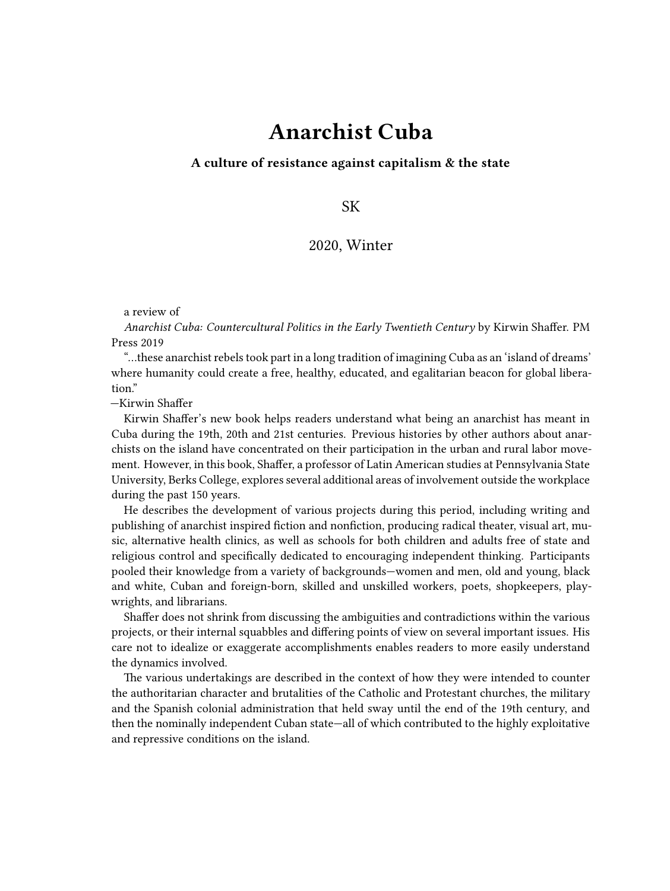## **Anarchist Cuba**

**A culture of resistance against capitalism & the state**

SK

## 2020, Winter

a review of

*Anarchist Cuba: Countercultural Politics in the Early Twentieth Century* by Kirwin Shaffer. PM Press 2019

"…these anarchist rebels took part in a long tradition of imagining Cuba as an 'island of dreams' where humanity could create a free, healthy, educated, and egalitarian beacon for global liberation."

—Kirwin Shaffer

Kirwin Shaffer's new book helps readers understand what being an anarchist has meant in Cuba during the 19th, 20th and 21st centuries. Previous histories by other authors about anarchists on the island have concentrated on their participation in the urban and rural labor movement. However, in this book, Shaffer, a professor of Latin American studies at Pennsylvania State University, Berks College, explores several additional areas of involvement outside the workplace during the past 150 years.

He describes the development of various projects during this period, including writing and publishing of anarchist inspired fiction and nonfiction, producing radical theater, visual art, music, alternative health clinics, as well as schools for both children and adults free of state and religious control and specifically dedicated to encouraging independent thinking. Participants pooled their knowledge from a variety of backgrounds—women and men, old and young, black and white, Cuban and foreign-born, skilled and unskilled workers, poets, shopkeepers, playwrights, and librarians.

Shaffer does not shrink from discussing the ambiguities and contradictions within the various projects, or their internal squabbles and differing points of view on several important issues. His care not to idealize or exaggerate accomplishments enables readers to more easily understand the dynamics involved.

The various undertakings are described in the context of how they were intended to counter the authoritarian character and brutalities of the Catholic and Protestant churches, the military and the Spanish colonial administration that held sway until the end of the 19th century, and then the nominally independent Cuban state—all of which contributed to the highly exploitative and repressive conditions on the island.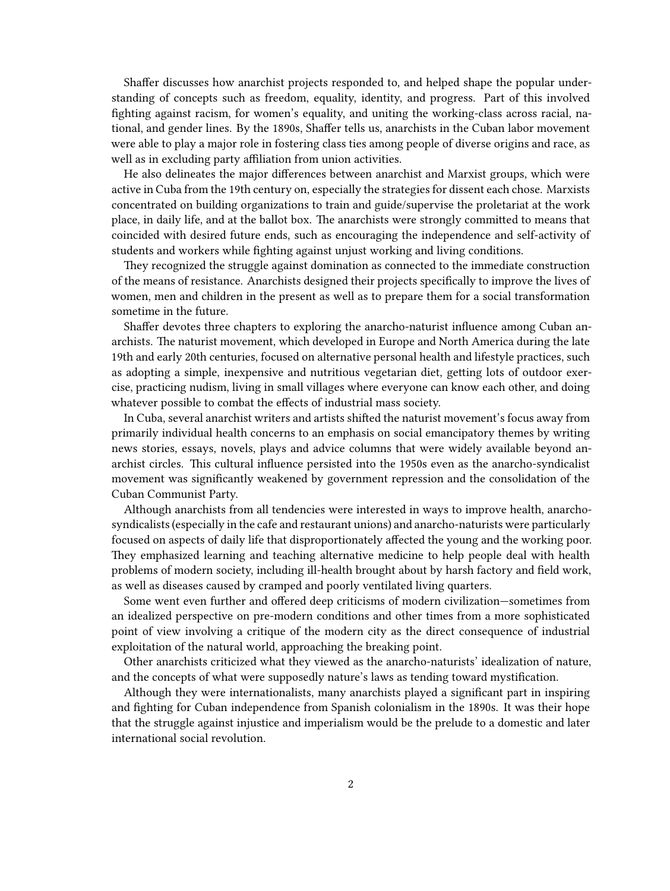Shaffer discusses how anarchist projects responded to, and helped shape the popular understanding of concepts such as freedom, equality, identity, and progress. Part of this involved fighting against racism, for women's equality, and uniting the working-class across racial, national, and gender lines. By the 1890s, Shaffer tells us, anarchists in the Cuban labor movement were able to play a major role in fostering class ties among people of diverse origins and race, as well as in excluding party affiliation from union activities.

He also delineates the major differences between anarchist and Marxist groups, which were active in Cuba from the 19th century on, especially the strategies for dissent each chose. Marxists concentrated on building organizations to train and guide/supervise the proletariat at the work place, in daily life, and at the ballot box. The anarchists were strongly committed to means that coincided with desired future ends, such as encouraging the independence and self-activity of students and workers while fighting against unjust working and living conditions.

They recognized the struggle against domination as connected to the immediate construction of the means of resistance. Anarchists designed their projects specifically to improve the lives of women, men and children in the present as well as to prepare them for a social transformation sometime in the future.

Shaffer devotes three chapters to exploring the anarcho-naturist influence among Cuban anarchists. The naturist movement, which developed in Europe and North America during the late 19th and early 20th centuries, focused on alternative personal health and lifestyle practices, such as adopting a simple, inexpensive and nutritious vegetarian diet, getting lots of outdoor exercise, practicing nudism, living in small villages where everyone can know each other, and doing whatever possible to combat the effects of industrial mass society.

In Cuba, several anarchist writers and artists shifted the naturist movement's focus away from primarily individual health concerns to an emphasis on social emancipatory themes by writing news stories, essays, novels, plays and advice columns that were widely available beyond anarchist circles. This cultural influence persisted into the 1950s even as the anarcho-syndicalist movement was significantly weakened by government repression and the consolidation of the Cuban Communist Party.

Although anarchists from all tendencies were interested in ways to improve health, anarchosyndicalists (especially in the cafe and restaurant unions) and anarcho-naturists were particularly focused on aspects of daily life that disproportionately affected the young and the working poor. They emphasized learning and teaching alternative medicine to help people deal with health problems of modern society, including ill-health brought about by harsh factory and field work, as well as diseases caused by cramped and poorly ventilated living quarters.

Some went even further and offered deep criticisms of modern civilization—sometimes from an idealized perspective on pre-modern conditions and other times from a more sophisticated point of view involving a critique of the modern city as the direct consequence of industrial exploitation of the natural world, approaching the breaking point.

Other anarchists criticized what they viewed as the anarcho-naturists' idealization of nature, and the concepts of what were supposedly nature's laws as tending toward mystification.

Although they were internationalists, many anarchists played a significant part in inspiring and fighting for Cuban independence from Spanish colonialism in the 1890s. It was their hope that the struggle against injustice and imperialism would be the prelude to a domestic and later international social revolution.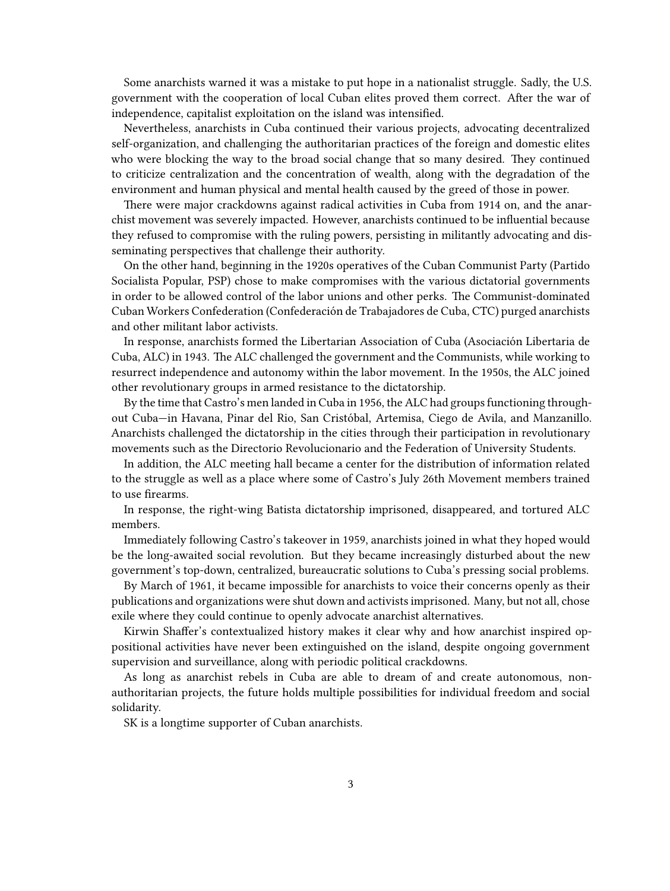Some anarchists warned it was a mistake to put hope in a nationalist struggle. Sadly, the U.S. government with the cooperation of local Cuban elites proved them correct. After the war of independence, capitalist exploitation on the island was intensified.

Nevertheless, anarchists in Cuba continued their various projects, advocating decentralized self-organization, and challenging the authoritarian practices of the foreign and domestic elites who were blocking the way to the broad social change that so many desired. They continued to criticize centralization and the concentration of wealth, along with the degradation of the environment and human physical and mental health caused by the greed of those in power.

There were major crackdowns against radical activities in Cuba from 1914 on, and the anarchist movement was severely impacted. However, anarchists continued to be influential because they refused to compromise with the ruling powers, persisting in militantly advocating and disseminating perspectives that challenge their authority.

On the other hand, beginning in the 1920s operatives of the Cuban Communist Party (Partido Socialista Popular, PSP) chose to make compromises with the various dictatorial governments in order to be allowed control of the labor unions and other perks. The Communist-dominated Cuban Workers Confederation (Confederación de Trabajadores de Cuba, CTC) purged anarchists and other militant labor activists.

In response, anarchists formed the Libertarian Association of Cuba (Asociación Libertaria de Cuba, ALC) in 1943. The ALC challenged the government and the Communists, while working to resurrect independence and autonomy within the labor movement. In the 1950s, the ALC joined other revolutionary groups in armed resistance to the dictatorship.

By the time that Castro's men landed in Cuba in 1956, the ALC had groups functioning throughout Cuba—in Havana, Pinar del Rio, San Cristóbal, Artemisa, Ciego de Avila, and Manzanillo. Anarchists challenged the dictatorship in the cities through their participation in revolutionary movements such as the Directorio Revolucionario and the Federation of University Students.

In addition, the ALC meeting hall became a center for the distribution of information related to the struggle as well as a place where some of Castro's July 26th Movement members trained to use firearms.

In response, the right-wing Batista dictatorship imprisoned, disappeared, and tortured ALC members.

Immediately following Castro's takeover in 1959, anarchists joined in what they hoped would be the long-awaited social revolution. But they became increasingly disturbed about the new government's top-down, centralized, bureaucratic solutions to Cuba's pressing social problems.

By March of 1961, it became impossible for anarchists to voice their concerns openly as their publications and organizations were shut down and activists imprisoned. Many, but not all, chose exile where they could continue to openly advocate anarchist alternatives.

Kirwin Shaffer's contextualized history makes it clear why and how anarchist inspired oppositional activities have never been extinguished on the island, despite ongoing government supervision and surveillance, along with periodic political crackdowns.

As long as anarchist rebels in Cuba are able to dream of and create autonomous, nonauthoritarian projects, the future holds multiple possibilities for individual freedom and social solidarity.

SK is a longtime supporter of Cuban anarchists.